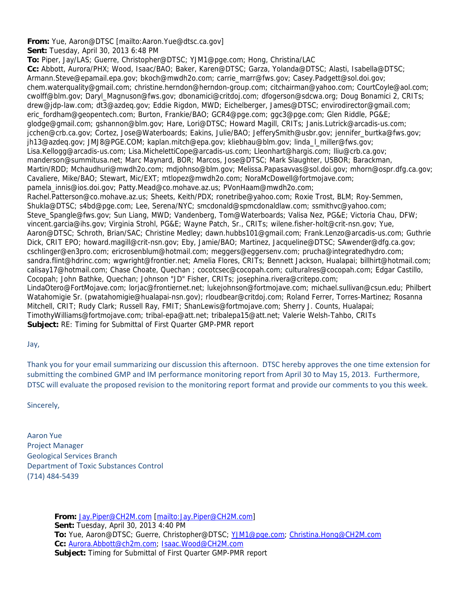## **From:** Yue, Aaron@DTSC [mailto:Aaron.Yue@dtsc.ca.gov]

**Sent:** Tuesday, April 30, 2013 6:48 PM

**To:** Piper, Jay/LAS; Guerre, Christopher@DTSC; YJM1@pge.com; Hong, Christina/LAC **Cc:** Abbott, Aurora/PHX; Wood, Isaac/BAO; Baker, Karen@DTSC; Garza, Yolanda@DTSC; Alasti, Isabella@DTSC; Armann.Steve@epamail.epa.gov; bkoch@mwdh2o.com; carrie\_marr@fws.gov; Casey.Padgett@sol.doi.gov; chem.waterquality@gmail.com; christine.herndon@herndon-group.com; citchairman@yahoo.com; CourtCoyle@aol.com; cwolff@blm.gov; Daryl\_Magnuson@fws.gov; dbonamici@critdoj.com; dfogerson@sdcwa.org; Doug Bonamici 2, CRITs; drew@jdp-law.com; dt3@azdeq.gov; Eddie Rigdon, MWD; Eichelberger, James@DTSC; envirodirector@gmail.com; eric\_fordham@geopentech.com; Burton, Frankie/BAO; GCR4@pge.com; ggc3@pge.com; Glen Riddle, PG&E; glodge@gmail.com; gshannon@blm.gov; Hare, Lori@DTSC; Howard Magill, CRITs; Janis.Lutrick@arcadis-us.com; jcchen@crb.ca.gov; Cortez, Jose@Waterboards; Eakins, Julie/BAO; JefferySmith@usbr.gov; jennifer\_burtka@fws.gov; jh13@azdeq.gov; JMJ8@PGE.COM; kaplan.mitch@epa.gov; kliebhau@blm.gov; linda\_l\_miller@fws.gov; Lisa.Kellogg@arcadis-us.com; Lisa.MichelettiCope@arcadis-us.com; Lleonhart@hargis.com; lliu@crb.ca.gov; manderson@summitusa.net; Marc Maynard, BOR; Marcos, Jose@DTSC; Mark Slaughter, USBOR; Barackman, Martin/RDD; Mchaudhuri@mwdh2o.com; mdjohnso@blm.gov; Melissa.Papasavvas@sol.doi.gov; mhorn@ospr.dfg.ca.gov; Cavaliere, Mike/BAO; Stewart, Mic/EXT; mtlopez@mwdh2o.com; NoraMcDowell@fortmojave.com; pamela\_innis@ios.doi.gov; Patty.Mead@co.mohave.az.us; PVonHaam@mwdh2o.com; Rachel.Patterson@co.mohave.az.us; Sheets, Keith/PDX; ronetribe@yahoo.com; Roxie Trost, BLM; Roy-Semmen, Shukla@DTSC; s4bd@pge.com; Lee, Serena/NYC; smcdonald@spmcdonaldlaw.com; ssmithvc@yahoo.com; Steve\_Spangle@fws.gov; Sun Liang, MWD; Vandenberg, Tom@Waterboards; Valisa Nez, PG&E; Victoria Chau, DFW; vincent.garcia@ihs.gov; Virginia Strohl, PG&E; Wayne Patch, Sr., CRITs; wilene.fisher-holt@crit-nsn.gov; Yue, Aaron@DTSC; Schroth, Brian/SAC; Christine Medley; dawn.hubbs101@gmail.com; Frank.Lenzo@arcadis-us.com; Guthrie Dick, CRIT EPO; howard.magill@crit-nsn.gov; Eby, Jamie/BAO; Martinez, Jacqueline@DTSC; SAwender@dfg.ca.gov; cschlinger@en3pro.com; ericrosenblum@hotmail.com; meggers@eggersenv.com; prucha@integratedhydro.com; sandra.flint@hdrinc.com; wgwright@frontier.net; Amelia Flores, CRITs; Bennett Jackson, Hualapai; billhirt@hotmail.com; calisay17@hotmail.com; Chase Choate, Quechan ; cocotcsec@cocopah.com; culturalres@cocopah.com; Edgar Castillo, Cocopah; John Bathke, Quechan; Johnson "JD" Fisher, CRITs; josephina.rivera@critepo.com; LindaOtero@FortMojave.com; lorjac@frontiernet.net; lukejohnson@fortmojave.com; michael.sullivan@csun.edu; Philbert Watahomigie Sr. (pwatahomigie@hualapai-nsn.gov); rloudbear@critdoj.com; Roland Ferrer, Torres-Martinez; Rosanna Mitchell, CRIT; Rudy Clark; Russell Ray, FMIT; ShanLewis@fortmojave.com; Sherry J. Counts, Hualapai; TimothyWilliams@fortmojave.com; tribal-epa@att.net; tribalepa15@att.net; Valerie Welsh-Tahbo, CRITs **Subject:** RE: Timing for Submittal of First Quarter GMP-PMR report

Jay,

Thank you for your email summarizing our discussion this afternoon. DTSC hereby approves the one time extension for submitting the combined GMP and IM performance monitoring report from April 30 to May 15, 2013. Furthermore, DTSC will evaluate the proposed revision to the monitoring report format and provide our comments to you this week.

Sincerely,

Aaron Yue Project Manager Geological Services Branch Department of Toxic Substances Control (714) 484‐5439

> **From:** Jay.Piper@CH2M.com [mailto:Jay.Piper@CH2M.com] **Sent:** Tuesday, April 30, 2013 4:40 PM **To:** Yue, Aaron@DTSC; Guerre, Christopher@DTSC; YJM1@pge.com; Christina.Hong@CH2M.com **Cc:** Aurora.Abbott@ch2m.com; Isaac.Wood@CH2M.com **Subject:** Timing for Submittal of First Quarter GMP-PMR report